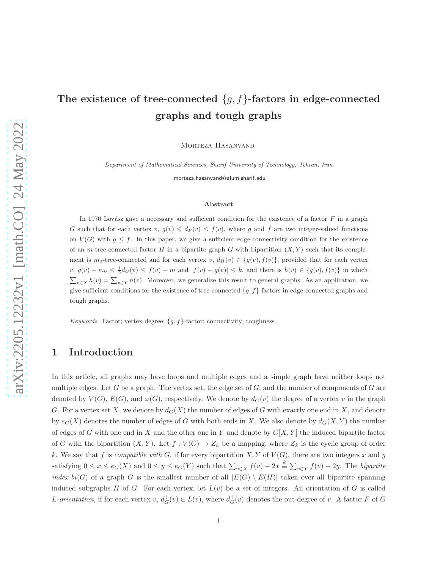# The existence of tree-connected  ${g, f}$ -factors in edge-connected graphs and tough graphs

Morteza Hasanvand

Department of Mathematical Sciences, Sharif University of Technology, Tehran, Iran

morteza.hasanvand@alum.sharif.edu

#### Abstract

In 1970 Lovász gave a necessary and sufficient condition for the existence of a factor  $F$  in a graph G such that for each vertex v,  $g(v) \leq d_F(v) \leq f(v)$ , where g and f are two integer-valued functions on  $V(G)$  with  $g \leq f$ . In this paper, we give a sufficient edge-connectivity condition for the existence of an m-tree-connected factor H in a bipartite graph G with bipartition  $(X, Y)$  such that its complement is  $m_0$ -tree-connected and for each vertex  $v, d_H(v) \in \{g(v), f(v)\}\)$  provided that for each vertex  $v, g(v) + m_0 \leq \frac{1}{2} d_G(v) \leq f(v) - m$  and  $|f(v) - g(v)| \leq k$ , and there is  $h(v) \in \{g(v), f(v)\}$  in which  $\sum_{v \in X} h(v) = \sum_{v \in Y} h(v)$ . Moreover, we generalize this result to general graphs. As an application, we give sufficient conditions for the existence of tree-connected  ${g, f}$ -factors in edge-connected graphs and tough graphs.

Keywords: Factor; vertex degree;  ${g, f}$  -factor; connectivity; toughness.

## 1 Introduction

In this article, all graphs may have loops and multiple edges and a simple graph have neither loops not multiple edges. Let G be a graph. The vertex set, the edge set of  $G$ , and the number of components of  $G$  are denoted by  $V(G)$ ,  $E(G)$ , and  $\omega(G)$ , respectively. We denote by  $d_G(v)$  the degree of a vertex v in the graph G. For a vertex set X, we denote by  $d_G(X)$  the number of edges of G with exactly one end in X, and denote by  $e_G(X)$  denotes the number of edges of G with both ends in X. We also denote by  $d_G(X, Y)$  the number of edges of G with one end in X and the other one in Y and denote by  $G[X, Y]$  the induced bipartite factor of G with the bipartition  $(X, Y)$ . Let  $f: V(G) \to Z_k$  be a mapping, where  $Z_k$  is the cyclic group of order k. We say that f is compatible with G, if for every bipartition  $X, Y$  of  $V(G)$ , there are two integers x and y satisfying  $0 \le x \le e_G(X)$  and  $0 \le y \le e_G(Y)$  such that  $\sum_{v \in X} f(v) - 2x \stackrel{k}{\equiv} \sum_{v \in Y} f(v) - 2y$ . The bipartite index bi(G) of a graph G is the smallest number of all  $|E(G) \setminus E(H)|$  taken over all bipartite spanning induced subgraphs H of G. For each vertex, let  $L(v)$  be a set of integers. An orientation of G is called L-orientation, if for each vertex  $v, d_G^+(v) \in L(v)$ , where  $d_G^+(v)$  denotes the out-degree of v. A factor F of G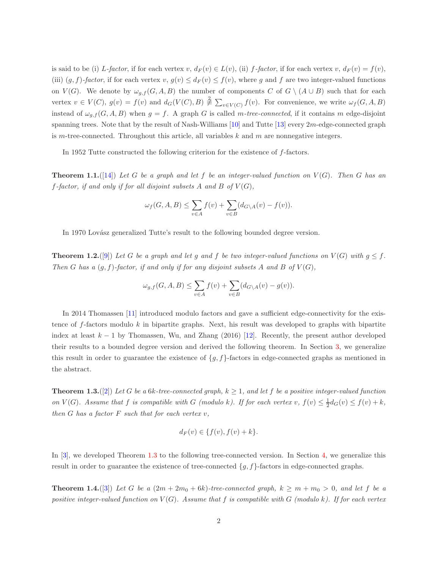is said to be (i) L-factor, if for each vertex v,  $d_F(v) \in L(v)$ , (ii) f-factor, if for each vertex v,  $d_F(v) = f(v)$ , (iii)  $(g, f)$ -factor, if for each vertex  $v, g(v) \leq d_F(v) \leq f(v)$ , where g and f are two integer-valued functions on  $V(G)$ . We denote by  $\omega_{q,f}(G, A, B)$  the number of components C of  $G \setminus (A \cup B)$  such that for each vertex  $v \in V(C)$ ,  $g(v) = f(v)$  and  $d_G(V(C), B) \neq \sum_{v \in V(C)} f(v)$ . For convenience, we write  $\omega_f(G, A, B)$ instead of  $\omega_{g,f}(G, A, B)$  when  $g = f$ . A graph G is called m-tree-connected, if it contains m edge-disjoint spanning trees. Note that by the result of Nash-Williams [\[10\]](#page-10-0) and Tutte [\[13\]](#page-10-1) every 2m-edge-connected graph is m-tree-connected. Throughout this article, all variables  $k$  and  $m$  are nonnegative integers.

<span id="page-1-2"></span>In 1952 Tutte constructed the following criterion for the existence of f-factors.

**Theorem 1.1.** ([\[14\]](#page-10-2)) Let G be a graph and let f be an integer-valued function on  $V(G)$ . Then G has an f-factor, if and only if for all disjoint subsets A and B of  $V(G)$ ,

$$
\omega_f(G, A, B) \le \sum_{v \in A} f(v) + \sum_{v \in B} (d_{G \setminus A}(v) - f(v)).
$$

In 1970 Lovász generalized Tutte's result to the following bounded degree version.

**Theorem 1.2.**([\[9\]](#page-10-3)) Let G be a graph and let g and f be two integer-valued functions on  $V(G)$  with  $g \leq f$ . Then G has a  $(g, f)$ -factor, if and only if for any disjoint subsets A and B of  $V(G)$ ,

$$
\omega_{g,f}(G,A,B) \le \sum_{v \in A} f(v) + \sum_{v \in B} (d_{G \setminus A}(v) - g(v)).
$$

In 2014 Thomassen [\[11\]](#page-10-4) introduced modulo factors and gave a sufficient edge-connectivity for the existence of  $f$ -factors modulo  $k$  in bipartite graphs. Next, his result was developed to graphs with bipartite index at least  $k-1$  by Thomassen, Wu, and Zhang (2016) [\[12\]](#page-10-5). Recently, the present author developed their results to a bounded degree version and derived the following theorem. In Section [3,](#page-4-0) we generalize this result in order to guarantee the existence of  $\{g, f\}$ -factors in edge-connected graphs as mentioned in the abstract.

<span id="page-1-0"></span>**Theorem 1.3.**([\[2\]](#page-10-6)) Let G be a 6k-tree-connected graph,  $k \geq 1$ , and let f be a positive integer-valued function on  $V(G)$ . Assume that f is compatible with G (modulo k). If for each vertex v,  $f(v) \leq \frac{1}{2}d_G(v) \leq f(v) + k$ , then  $G$  has a factor  $F$  such that for each vertex  $v$ ,

<span id="page-1-1"></span>
$$
d_F(v) \in \{f(v), f(v) + k\}.
$$

In [\[3\]](#page-10-7), we developed Theorem [1.3](#page-1-0) to the following tree-connected version. In Section [4,](#page-7-0) we generalize this result in order to guarantee the existence of tree-connected  $\{g, f\}$ -factors in edge-connected graphs.

**Theorem 1.4.**([\[3\]](#page-10-7)) Let G be a  $(2m + 2m_0 + 6k)$ -tree-connected graph,  $k \ge m + m_0 > 0$ , and let f be a positive integer-valued function on  $V(G)$ . Assume that f is compatible with G (modulo k). If for each vertex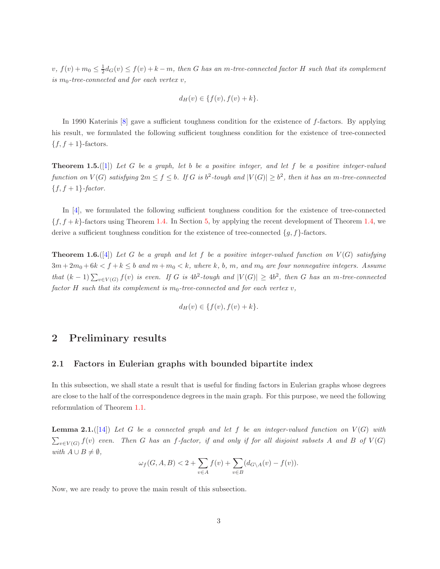$v, f(v) + m_0 \leq \frac{1}{2} d_G(v) \leq f(v) + k - m$ , then G has an m-tree-connected factor H such that its complement is  $m_0$ -tree-connected and for each vertex v,

$$
d_H(v) \in \{f(v), f(v) + k\}.
$$

<span id="page-2-2"></span>In 1990 Katerinis [\[8\]](#page-10-8) gave a sufficient toughness condition for the existence of f-factors. By applying his result, we formulated the following sufficient toughness condition for the existence of tree-connected  ${f, f+1}$ -factors.

**Theorem 1.5.**([\[1\]](#page-10-9)) Let G be a graph, let b be a positive integer, and let f be a positive integer-valued function on  $V(G)$  satisfying  $2m \le f \le b$ . If G is  $b^2$ -tough and  $|V(G)| \ge b^2$ , then it has an m-tree-connected  ${f, f+1}$ -factor.

In [\[4\]](#page-10-10), we formulated the following sufficient toughness condition for the existence of tree-connected  ${f, f+k}$ -factors using Theorem [1.4.](#page-1-1) In Section [5,](#page-9-0) by applying the recent development of Theorem [1.4,](#page-1-1) we derive a sufficient toughness condition for the existence of tree-connected  $\{g, f\}$ -factors.

**Theorem 1.6.**([\[4\]](#page-10-10)) Let G be a graph and let f be a positive integer-valued function on  $V(G)$  satisfying  $3m + 2m_0 + 6k < f + k \le b$  and  $m + m_0 < k$ , where k, b, m, and  $m_0$  are four nonnegative integers. Assume that  $(k-1)\sum_{v\in V(G)} f(v)$  is even. If G is  $4b^2$ -tough and  $|V(G)| \geq 4b^2$ , then G has an m-tree-connected factor H such that its complement is  $m_0$ -tree-connected and for each vertex v,

<span id="page-2-1"></span>
$$
d_H(v) \in \{f(v), f(v) + k\}.
$$

### 2 Preliminary results

#### 2.1 Factors in Eulerian graphs with bounded bipartite index

In this subsection, we shall state a result that is useful for finding factors in Eulerian graphs whose degrees are close to the half of the correspondence degrees in the main graph. For this purpose, we need the following reformulation of Theorem [1.1.](#page-1-2)

**Lemma 2.1.** ([\[14\]](#page-10-2)) Let G be a connected graph and let f be an integer-valued function on  $V(G)$  with  $\sum_{v\in V(G)} f(v)$  even. Then G has an f-factor, if and only if for all disjoint subsets A and B of  $V(G)$ with  $A \cup B \neq \emptyset$ ,

<span id="page-2-0"></span>
$$
\omega_f(G,A,B) < 2 + \sum_{v \in A} f(v) + \sum_{v \in B} (d_{G \setminus A}(v) - f(v)).
$$

Now, we are ready to prove the main result of this subsection.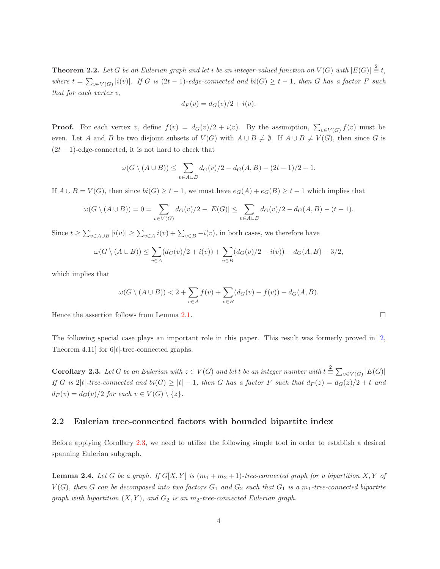**Theorem 2.2.** Let G be an Eulerian graph and let i be an integer-valued function on  $V(G)$  with  $|E(G)| \stackrel{2}{\equiv} t$ , where  $t = \sum_{v \in V(G)} |i(v)|$ . If G is  $(2t - 1)$ -edge-connected and  $bi(G) \ge t - 1$ , then G has a factor F such that for each vertex v,

$$
d_F(v) = d_G(v)/2 + i(v).
$$

**Proof.** For each vertex v, define  $f(v) = d_G(v)/2 + i(v)$ . By the assumption,  $\sum_{v \in V(G)} f(v)$  must be even. Let A and B be two disjoint subsets of  $V(G)$  with  $A \cup B \neq \emptyset$ . If  $A \cup B \neq V(G)$ , then since G is  $(2t-1)$ -edge-connected, it is not hard to check that

$$
\omega(G \setminus (A \cup B)) \le \sum_{v \in A \cup B} d_G(v)/2 - d_G(A, B) - (2t - 1)/2 + 1.
$$

If  $A \cup B = V(G)$ , then since  $bi(G) \ge t - 1$ , we must have  $e_G(A) + e_G(B) \ge t - 1$  which implies that

$$
\omega(G \setminus (A \cup B)) = 0 = \sum_{v \in V(G)} d_G(v)/2 - |E(G)| \le \sum_{v \in A \cup B} d_G(v)/2 - d_G(A, B) - (t - 1).
$$

Since  $t \ge \sum_{v \in A \cup B} |i(v)| \ge \sum_{v \in A} i(v) + \sum_{v \in B} -i(v)$ , in both cases, we therefore have

$$
\omega(G \setminus (A \cup B)) \le \sum_{v \in A} (d_G(v)/2 + i(v)) + \sum_{v \in B} (d_G(v)/2 - i(v)) - d_G(A, B) + 3/2,
$$

which implies that

<span id="page-3-0"></span>
$$
\omega(G \setminus (A \cup B)) < 2 + \sum_{v \in A} f(v) + \sum_{v \in B} (d_G(v) - f(v)) - d_G(A, B).
$$

Hence the assertion follows from Lemma [2.1.](#page-2-0)

The following special case plays an important role in this paper. This result was formerly proved in [\[2,](#page-10-6) Theorem 4.11] for  $6|t|$ -tree-connected graphs.

**Corollary 2.3.** Let G be an Eulerian with  $z \in V(G)$  and let t be an integer number with  $t \stackrel{2}{\equiv} \sum_{v \in V(G)} |E(G)|$ If G is 2|t|-tree-connected and bi(G)  $\geq |t| - 1$ , then G has a factor F such that  $d_F(z) = d_G(z)/2 + t$  and  $d_F(v) = d_G(v)/2$  for each  $v \in V(G) \setminus \{z\}.$ 

#### 2.2 Eulerian tree-connected factors with bounded bipartite index

<span id="page-3-1"></span>Before applying Corollary [2.3,](#page-3-0) we need to utilize the following simple tool in order to establish a desired spanning Eulerian subgraph.

**Lemma 2.4.** Let G be a graph. If  $G[X, Y]$  is  $(m_1 + m_2 + 1)$ -tree-connected graph for a bipartition X, Y of  $V(G)$ , then G can be decomposed into two factors  $G_1$  and  $G_2$  such that  $G_1$  is a  $m_1$ -tree-connected bipartite graph with bipartition  $(X, Y)$ , and  $G_2$  is an  $m_2$ -tree-connected Eulerian graph.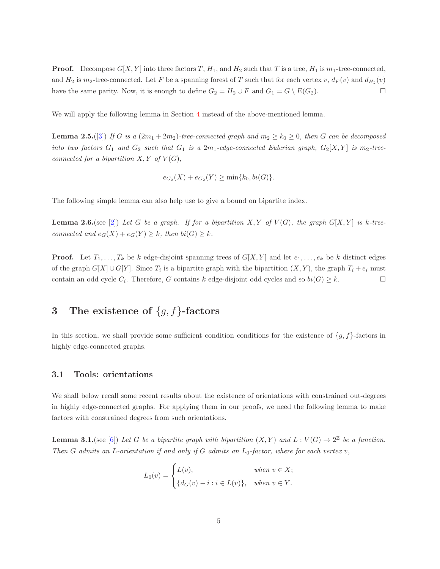**Proof.** Decompose  $G[X, Y]$  into three factors T,  $H_1$ , and  $H_2$  such that T is a tree,  $H_1$  is  $m_1$ -tree-connected, and  $H_2$  is  $m_2$ -tree-connected. Let F be a spanning forest of T such that for each vertex v,  $d_F(v)$  and  $d_{H_2}(v)$ have the same parity. Now, it is enough to define  $G_2 = H_2 \cup F$  and  $G_1 = G \setminus E(G_2)$ .

We will apply the following lemma in Section [4](#page-7-0) instead of the above-mentioned lemma.

**Lemma 2.5.**([\[3\]](#page-10-7)) If G is a  $(2m_1 + 2m_2)$ -tree-connected graph and  $m_2 \ge k_0 \ge 0$ , then G can be decomposed into two factors  $G_1$  and  $G_2$  such that  $G_1$  is a  $2m_1$ -edge-connected Eulerian graph,  $G_2[X, Y]$  is  $m_2$ -treeconnected for a bipartition  $X, Y$  of  $V(G)$ ,

<span id="page-4-3"></span><span id="page-4-2"></span>
$$
e_{G_2}(X) + e_{G_2}(Y) \ge \min\{k_0, bi(G)\}.
$$

The following simple lemma can also help use to give a bound on bipartite index.

**Lemma 2.6.**(see [\[2\]](#page-10-6)) Let G be a graph. If for a bipartition X, Y of  $V(G)$ , the graph  $G[X, Y]$  is k-treeconnected and  $e_G(X) + e_G(Y) \geq k$ , then  $bi(G) \geq k$ .

**Proof.** Let  $T_1, \ldots, T_k$  be k edge-disjoint spanning trees of  $G[X, Y]$  and let  $e_1, \ldots, e_k$  be k distinct edges of the graph  $G[X] \cup G[Y]$ . Since  $T_i$  is a bipartite graph with the bipartition  $(X, Y)$ , the graph  $T_i + e_i$  must contain an odd cycle  $C_i$ . Therefore, G contains k edge-disjoint odd cycles and so  $bi(G) \geq k$ .

# <span id="page-4-0"></span>3 The existence of  ${g, f}$ -factors

In this section, we shall provide some sufficient condition conditions for the existence of  $\{g, f\}$ -factors in highly edge-connected graphs.

#### 3.1 Tools: orientations

We shall below recall some recent results about the existence of orientations with constrained out-degrees in highly edge-connected graphs. For applying them in our proofs, we need the following lemma to make factors with constrained degrees from such orientations.

**Lemma 3.1.** (see [\[6\]](#page-10-11)) Let G be a bipartite graph with bipartition  $(X, Y)$  and  $L: V(G) \to 2^{\mathbb{Z}}$  be a function. Then G admits an L-orientation if and only if G admits an  $L_0$ -factor, where for each vertex v,

<span id="page-4-1"></span>
$$
L_0(v) = \begin{cases} L(v), & when \ v \in X; \\ \{d_G(v) - i : i \in L(v)\}, & when \ v \in Y. \end{cases}
$$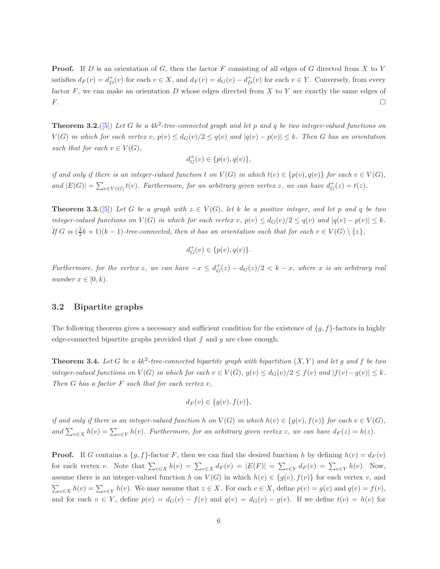**Proof.** If D is an orientation of G, then the factor F consisting of all edges of G directed from X to Y satisfies  $d_F(v) = d_D^+(v)$  for each  $v \in X$ , and  $d_F(v) = d_G(v) - d_D^+(v)$  for each  $v \in Y$ . Conversely, from every factor  $F$ , we can make an orientation  $D$  whose edges directed from  $X$  to  $Y$  are exactly the same edges of  $\Gamma$ .

<span id="page-5-0"></span>**Theorem 3.2.**([\[5\]](#page-10-12)) Let G be a  $4k^2$ -tree-connected graph and let p and q be two integer-valued functions on  $V(G)$  in which for each vertex v,  $p(v) \leq d_G(v)/2 \leq q(v)$  and  $|q(v) - p(v)| \leq k$ . Then G has an orientation such that for each  $v \in V(G)$ ,

$$
d_G^+(v) \in \{p(v), q(v)\},\
$$

if and only if there is an integer-valued function t on  $V(G)$  in which  $t(v) \in \{p(v), q(v)\}\$  for each  $v \in V(G)$ , and  $|E(G)| = \sum_{v \in V(G)} t(v)$ . Furthermore, for an arbitrary given vertex z, we can have  $d_G^+(z) = t(z)$ .

<span id="page-5-2"></span>**Theorem 3.3.**([\[5\]](#page-10-12)) Let G be a graph with  $z \in V(G)$ , let k be a positive integer, and let p and q be two integer-valued functions on  $V(G)$  in which for each vertex v,  $p(v) \leq d_G(v)/2 \leq q(v)$  and  $|q(v) - p(v)| \leq k$ . If G is  $(\frac{3}{2}k+1)(k-1)$ -tree-connected, then it has an orientation such that for each  $v \in V(G) \setminus \{z\}$ ,

$$
d_G^+(v) \in \{p(v), q(v)\}.
$$

Furthermore, for the vertex z, we can have  $-x \le d_G^+(z) - d_G(z)/2 < k - x$ , where x is an arbitrary real number  $x \in [0, k)$ .

#### 3.2 Bipartite graphs

The following theorem gives a necessary and sufficient condition for the existence of  $\{g, f\}$ -factors in highly edge-connected bipartite graphs provided that  $f$  and  $g$  are close enough.

**Theorem 3.4.** Let G be a  $4k^2$ -tree-connected bipartite graph with bipartition  $(X, Y)$  and let g and f be two integer-valued functions on  $V(G)$  in which for each  $v \in V(G)$ ,  $g(v) \leq d_G(v)/2 \leq f(v)$  and  $|f(v)-g(v)| \leq k$ . Then  $G$  has a factor  $F$  such that for each vertex  $v$ ,

<span id="page-5-1"></span>
$$
d_F(v) \in \{g(v), f(v)\},\
$$

if and only if there is an integer-valued function h on  $V(G)$  in which  $h(v) \in \{g(v), f(v)\}$  for each  $v \in V(G)$ , and  $\sum_{v \in X} h(v) = \sum_{v \in Y} h(v)$ . Furthermore, for an arbitrary given vertex z, we can have  $d_F(z) = h(z)$ .

**Proof.** If G contains a  $\{g, f\}$ -factor F, then we can find the desired function h by defining  $h(v) = d_F(v)$ for each vertex v. Note that  $\sum_{v \in X} h(v) = \sum_{v \in X} d_F(v) = |E(F)| = \sum_{v \in Y} d_F(v) = \sum_{v \in Y} h(v)$ . Now, assume there is an integer-valued function h on  $V(G)$  in which  $h(v) \in \{g(v), f(v)\}\)$  for each vertex v, and  $\sum_{v \in X} h(v) = \sum_{v \in Y} h(v)$ . We may assume that  $z \in X$ . For each  $v \in X$ , define  $p(v) = g(v)$  and  $q(v) = f(v)$ , and for each  $v \in Y$ , define  $p(v) = d_G(v) - f(v)$  and  $q(v) = d_G(v) - g(v)$ . If we define  $t(v) = h(v)$  for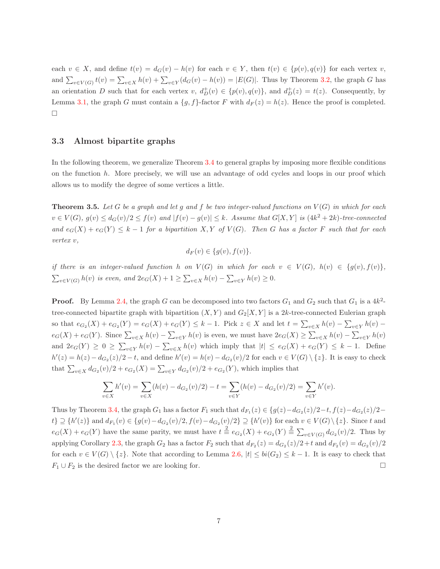each  $v \in X$ , and define  $t(v) = d_G(v) - h(v)$  for each  $v \in Y$ , then  $t(v) \in \{p(v), q(v)\}\$ for each vertex v, and  $\sum_{v \in V(G)} t(v) = \sum_{v \in X} h(v) + \sum_{v \in Y}(d_G(v) - h(v)) = |E(G)|$ . Thus by Theorem [3.2,](#page-5-0) the graph G has an orientation D such that for each vertex  $v, d^+_{D}(v) \in \{p(v), q(v)\}\)$ , and  $d^+_{D}(z) = t(z)$ . Consequently, by Lemma [3.1,](#page-4-1) the graph G must contain a  $\{g, f\}$ -factor F with  $d_F(z) = h(z)$ . Hence the proof is completed.  $\Box$ 

#### 3.3 Almost bipartite graphs

In the following theorem, we generalize Theorem [3.4](#page-5-1) to general graphs by imposing more flexible conditions on the function  $h$ . More precisely, we will use an advantage of odd cycles and loops in our proof which allows us to modify the degree of some vertices a little.

**Theorem 3.5.** Let G be a graph and let g and f be two integer-valued functions on  $V(G)$  in which for each  $v \in V(G)$ ,  $g(v) \leq d_G(v)/2 \leq f(v)$  and  $|f(v) - g(v)| \leq k$ . Assume that  $G[X, Y]$  is  $(4k^2 + 2k)$ -tree-connected and  $e_G(X) + e_G(Y) \leq k-1$  for a bipartition X, Y of  $V(G)$ . Then G has a factor F such that for each vertex v,

<span id="page-6-0"></span>
$$
d_F(v) \in \{g(v), f(v)\}.
$$

if there is an integer-valued function h on  $V(G)$  in which for each  $v \in V(G)$ ,  $h(v) \in \{g(v), f(v)\},\$  $\sum_{v \in V(G)} h(v)$  is even, and  $2e_G(X) + 1 \ge \sum_{v \in X} h(v) - \sum_{v \in Y} h(v) \ge 0$ .

**Proof.** By Lemma [2.4,](#page-3-1) the graph G can be decomposed into two factors  $G_1$  and  $G_2$  such that  $G_1$  is a  $4k^2$ tree-connected bipartite graph with bipartition  $(X, Y)$  and  $G_2[X, Y]$  is a 2k-tree-connected Eulerian graph so that  $e_{G_2}(X) + e_{G_2}(Y) = e_G(X) + e_G(Y) \leq k - 1$ . Pick  $z \in X$  and let  $t = \sum_{v \in X} h(v) - \sum_{v \in Y} h(v)$  $e_G(X) + e_G(Y)$ . Since  $\sum_{v \in X} h(v) - \sum_{v \in Y} h(v)$  is even, we must have  $2e_G(X) \ge \sum_{v \in X} h(v) - \sum_{v \in Y} h(v)$ and  $2e_G(Y) \geq 0 \geq \sum_{v \in Y} h(v) - \sum_{v \in X} h(v)$  which imply that  $|t| \leq e_G(X) + e_G(Y) \leq k - 1$ . Define  $h'(z) = h(z) - d_{G_2}(z)/2 - t$ , and define  $h'(v) = h(v) - d_{G_2}(v)/2$  for each  $v \in V(G) \setminus \{z\}$ . It is easy to check that  $\sum_{v \in X} d_{G_2}(v)/2 + e_{G_2}(X) = \sum_{v \in Y} d_{G_2}(v)/2 + e_{G_2}(Y)$ , which implies that

$$
\sum_{v \in X} h'(v) = \sum_{v \in X} (h(v) - d_{G_2}(v)/2) - t = \sum_{v \in Y} (h(v) - d_{G_2}(v)/2) = \sum_{v \in Y} h'(v).
$$

Thus by Theorem [3.4,](#page-5-1) the graph  $G_1$  has a factor  $F_1$  such that  $d_{F_1}(z) \in \{g(z) - d_{G_2}(z)/2 - t, f(z) - d_{G_2}(z)/2 - t\}$  $\{t\} \supseteq \{h'(z)\}\$ and  $d_{F_1}(v) \in \{g(v) - d_{G_2}(v)/2, f(v) - d_{G_2}(v)/2\} \supseteq \{h'(v)\}\$ for each  $v \in V(G) \setminus \{z\}$ . Since t and  $e_G(X) + e_G(Y)$  have the same parity, we must have  $t \stackrel{2}{\equiv} e_{G_2}(X) + e_{G_2}(Y) \stackrel{2}{\equiv} \sum_{v \in V(G)} d_{G_2}(v)/2$ . Thus by applying Corollary [2.3,](#page-3-0) the graph  $G_2$  has a factor  $F_2$  such that  $d_{F_2}(z) = d_{G_2}(z)/2 + t$  and  $d_{F_2}(v) = d_{G_2}(v)/2$ for each  $v \in V(G) \setminus \{z\}$ . Note that according to Lemma [2.6,](#page-4-2)  $|t| \le bi(G_2) \le k-1$ . It is easy to check that  $F_1 \cup F_2$  is the desired factor we are looking for.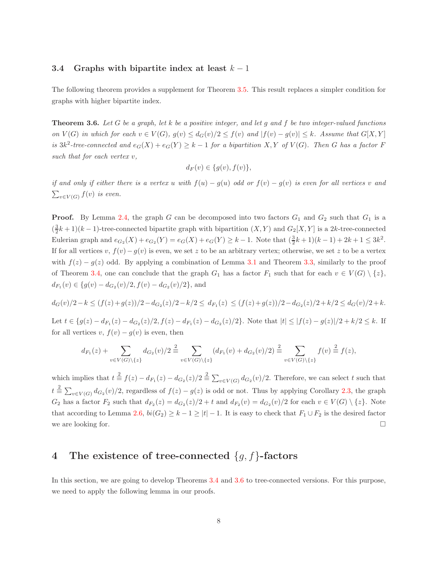#### 3.4 Graphs with bipartite index at least  $k-1$

The following theorem provides a supplement for Theorem [3.5.](#page-6-0) This result replaces a simpler condition for graphs with higher bipartite index.

**Theorem 3.6.** Let G be a graph, let k be a positive integer, and let g and f be two integer-valued functions on  $V(G)$  in which for each  $v \in V(G)$ ,  $g(v) \leq d_G(v)/2 \leq f(v)$  and  $|f(v) - g(v)| \leq k$ . Assume that  $G[X, Y]$ is  $3k^2$ -tree-connected and  $e_G(X) + e_G(Y) \geq k-1$  for a bipartition X, Y of  $V(G)$ . Then G has a factor F such that for each vertex v,

<span id="page-7-1"></span>
$$
d_F(v) \in \{g(v), f(v)\},\
$$

if and only if either there is a vertex u with  $f(u) - g(u)$  odd or  $f(v) - g(v)$  is even for all vertices v and  $\sum_{v\in V(G)} f(v)$  is even.

**Proof.** By Lemma [2.4,](#page-3-1) the graph G can be decomposed into two factors  $G_1$  and  $G_2$  such that  $G_1$  is a  $(\frac{3}{2}k+1)(k-1)$ -tree-connected bipartite graph with bipartition  $(X, Y)$  and  $G_2[X, Y]$  is a 2k-tree-connected Eulerian graph and  $e_{G_2}(X) + e_{G_2}(Y) = e_G(X) + e_G(Y) \ge k - 1$ . Note that  $(\frac{3}{2}k + 1)(k - 1) + 2k + 1 \le 3k^2$ . If for all vertices v,  $f(v)-g(v)$  is even, we set z to be an arbitrary vertex; otherwise, we set z to be a vertex with  $f(z) - g(z)$  odd. By applying a combination of Lemma [3.1](#page-4-1) and Theorem [3.3,](#page-5-2) similarly to the proof of Theorem [3.4,](#page-5-1) one can conclude that the graph  $G_1$  has a factor  $F_1$  such that for each  $v \in V(G) \setminus \{z\}$ ,  $d_{F_1}(v) \in \{g(v) - d_{G_2}(v)/2, f(v) - d_{G_2}(v)/2\},\$ and

$$
d_G(v)/2 - k \le (f(z) + g(z))/2 - d_{G_2}(z)/2 - k/2 \le d_{F_1}(z) \le (f(z) + g(z))/2 - d_{G_2}(z)/2 + k/2 \le d_G(v)/2 + k.
$$

Let  $t \in \{g(z) - d_{F_1}(z) - d_{G_2}(z)/2, f(z) - d_{F_1}(z) - d_{G_2}(z)/2\}$ . Note that  $|t| \leq |f(z) - g(z)|/2 + k/2 \leq k$ . If for all vertices v,  $f(v) - g(v)$  is even, then

$$
d_{F_1}(z) + \sum_{v \in V(G) \setminus \{z\}} d_{G_2}(v)/2 \stackrel{2}{\equiv} \sum_{v \in V(G) \setminus \{z\}} (d_{F_1}(v) + d_{G_2}(v)/2) \stackrel{2}{\equiv} \sum_{v \in V(G) \setminus \{z\}} f(v) \stackrel{2}{\equiv} f(z),
$$

which implies that  $t \stackrel{2}{\equiv} f(z) - d_{F_1}(z) - d_{G_2}(z)/2 \stackrel{2}{\equiv} \sum_{v \in V(G)} d_{G_2}(v)/2$ . Therefore, we can select t such that  $t \stackrel{2}{\equiv} \sum_{v \in V(G)} d_{G_2}(v)/2$ , regardless of  $f(z) - g(z)$  is odd or not. Thus by applying Corollary [2.3,](#page-3-0) the graph  $G_2$  has a factor  $F_2$  such that  $d_{F_2}(z) = d_{G_2}(z)/2 + t$  and  $d_{F_2}(v) = d_{G_2}(v)/2$  for each  $v \in V(G) \setminus \{z\}$ . Note that according to Lemma [2.6,](#page-4-2)  $bi(G_2) \geq k - 1 \geq |t| - 1$ . It is easy to check that  $F_1 \cup F_2$  is the desired factor we are looking for.  $\Box$ 

# <span id="page-7-0"></span>4 The existence of tree-connected  ${g, f}$ -factors

<span id="page-7-2"></span>In this section, we are going to develop Theorems [3.4](#page-5-1) and [3.6](#page-7-1) to tree-connected versions. For this purpose, we need to apply the following lemma in our proofs.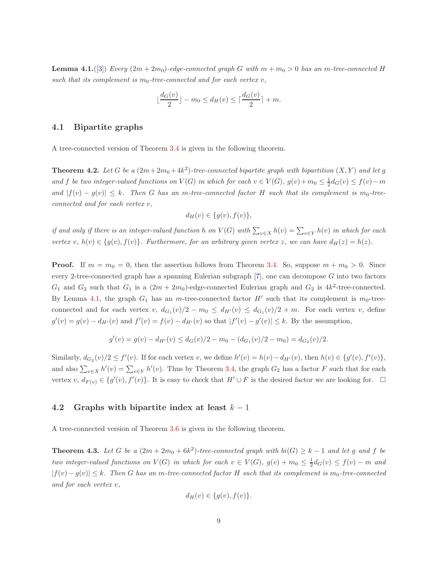**Lemma 4.1.** ([\[3\]](#page-10-7)) Every  $(2m + 2m_0)$ -edge-connected graph G with  $m + m_0 > 0$  has an m-tree-connected H such that its complement is  $m_0$ -tree-connected and for each vertex  $v$ ,

$$
\lfloor \frac{d_G(v)}{2} \rfloor - m_0 \le d_H(v) \le \lceil \frac{d_G(v)}{2} \rceil + m.
$$

#### 4.1 Bipartite graphs

A tree-connected version of Theorem [3.4](#page-5-1) is given in the following theorem.

**Theorem 4.2.** Let G be a  $(2m+2m_0+4k^2)$ -tree-connected bipartite graph with bipartition  $(X, Y)$  and let g and f be two integer-valued functions on  $V(G)$  in which for each  $v \in V(G)$ ,  $g(v) + m_0 \leq \frac{1}{2}d_G(v) \leq f(v) - m$ and  $|f(v) - g(v)| \leq k$ . Then G has an m-tree-connected factor H such that its complement is m<sub>0</sub>-treeconnected and for each vertex v,

$$
d_H(v) \in \{g(v), f(v)\},\
$$

if and only if there is an integer-valued function  $h$  on  $V(G)$  with  $\sum_{v\in X}h(v)=\sum_{v\in Y}h(v)$  in which for each vertex v,  $h(v) \in \{g(v), f(v)\}\$ . Furthermore, for an arbitrary given vertex z, we can have  $d_H(z) = h(z)$ .

**Proof.** If  $m = m_0 = 0$ , then the assertion follows from Theorem [3.4.](#page-5-1) So, suppose  $m + m_0 > 0$ . Since every 2-tree-connected graph has a spanning Eulerian subgraph  $[7]$ , one can decompose G into two factors  $G_1$  and  $G_2$  such that  $G_1$  is a  $(2m + 2m_0)$ -edge-connected Eulerian graph and  $G_2$  is  $4k^2$ -tree-connected. By Lemma [4.1,](#page-7-2) the graph  $G_1$  has an m-tree-connected factor  $H'$  such that its complement is  $m_0$ -treeconnected and for each vertex v,  $d_{G_1}(v)/2 - m_0 \leq d_{H'}(v) \leq d_{G_1}(v)/2 + m$ . For each vertex v, define  $g'(v) = g(v) - d_{H'}(v)$  and  $f'(v) = f(v) - d_{H'}(v)$  so that  $|f'(v) - g'(v)| \leq k$ . By the assumption,

$$
g'(v) = g(v) - d_{H'}(v) \le d_G(v)/2 - m_0 - (d_{G_1}(v)/2 - m_0) = d_{G_2}(v)/2.
$$

Similarly,  $d_{G_2}(v)/2 \le f'(v)$ . If for each vertex v, we define  $h'(v) = h(v) - d_{H'}(v)$ , then  $h(v) \in \{g'(v), f'(v)\},$ and also  $\sum_{v\in X} h'(v) = \sum_{v\in Y} h'(v)$ . Thus by Theorem [3.4,](#page-5-1) the graph  $G_2$  has a factor F such that for each vertex  $v, d_{F(v)} \in \{g'(v), f'(v)\}.$  It is easy to check that  $H' \cup F$  is the desired factor we are looking for.  $\Box$ 

#### 4.2 Graphs with bipartite index at least  $k-1$

A tree-connected version of Theorem [3.6](#page-7-1) is given in the following theorem.

**Theorem 4.3.** Let G be a  $(2m + 2m_0 + 6k^2)$ -tree-connected graph with  $bi(G) \geq k - 1$  and let g and f be two integer-valued functions on  $V(G)$  in which for each  $v \in V(G)$ ,  $g(v) + m_0 \leq \frac{1}{2}d_G(v) \leq f(v) - m$  and  $|f(v) - g(v)| \leq k$ . Then G has an m-tree-connected factor H such that its complement is m<sub>0</sub>-tree-connected and for each vertex v,

<span id="page-8-0"></span>
$$
d_H(v) \in \{g(v), f(v)\}.
$$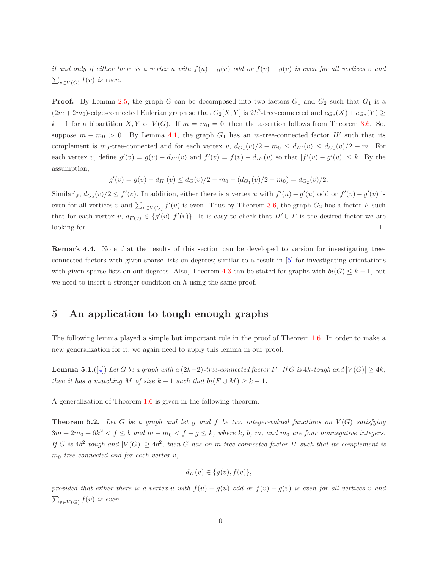if and only if either there is a vertex u with  $f(u) - g(u)$  odd or  $f(v) - g(v)$  is even for all vertices v and  $\sum_{v\in V(G)} f(v)$  is even.

**Proof.** By Lemma [2.5,](#page-4-3) the graph G can be decomposed into two factors  $G_1$  and  $G_2$  such that  $G_1$  is a  $(2m+2m_0)$ -edge-connected Eulerian graph so that  $G_2[X,Y]$  is  $2k^2$ -tree-connected and  $e_{G_2}(X) + e_{G_2}(Y) \ge$ k − 1 for a bipartition X, Y of  $V(G)$ . If  $m = m_0 = 0$ , then the assertion follows from Theorem [3.6.](#page-7-1) So, suppose  $m + m_0 > 0$ . By Lemma [4.1,](#page-7-2) the graph  $G_1$  has an m-tree-connected factor H' such that its complement is  $m_0$ -tree-connected and for each vertex v,  $d_{G_1}(v)/2 - m_0 \le d_{H'}(v) \le d_{G_1}(v)/2 + m$ . For each vertex v, define  $g'(v) = g(v) - d_{H'}(v)$  and  $f'(v) = f(v) - d_{H'}(v)$  so that  $|f'(v) - g'(v)| \leq k$ . By the assumption,

$$
g'(v) = g(v) - d_{H'}(v) \le d_G(v)/2 - m_0 - (d_{G_1}(v)/2 - m_0) = d_{G_2}(v)/2.
$$

Similarly,  $d_{G_2}(v)/2 \le f'(v)$ . In addition, either there is a vertex u with  $f'(u) - g'(u)$  odd or  $f'(v) - g'(v)$  is even for all vertices v and  $\sum_{v \in V(G)} f'(v)$  is even. Thus by Theorem [3.6,](#page-7-1) the graph  $G_2$  has a factor F such that for each vertex  $v, d_{F(v)} \in \{g'(v), f'(v)\}.$  It is easy to check that  $H' \cup F$  is the desired factor we are looking for.  $\Box$ 

Remark 4.4. Note that the results of this section can be developed to version for investigating treeconnected factors with given sparse lists on degrees; similar to a result in [\[5\]](#page-10-12) for investigating orientations with given sparse lists on out-degrees. Also, Theorem [4.3](#page-8-0) can be stated for graphs with  $bi(G) \leq k - 1$ , but we need to insert a stronger condition on h using the same proof.

# <span id="page-9-0"></span>5 An application to tough enough graphs

The following lemma played a simple but important role in the proof of Theorem [1.6.](#page-2-1) In order to make a new generalization for it, we again need to apply this lemma in our proof.

**Lemma 5.1.**([\[4\]](#page-10-10)) Let G be a graph with a (2k-2)-tree-connected factor F. If G is 4k-tough and  $|V(G)| \geq 4k$ , then it has a matching M of size  $k-1$  such that  $bi(F \cup M) \geq k-1$ .

A generalization of Theorem [1.6](#page-2-1) is given in the following theorem.

**Theorem 5.2.** Let G be a graph and let g and f be two integer-valued functions on  $V(G)$  satisfying  $3m + 2m_0 + 6k^2 < f \le b$  and  $m + m_0 < f - g \le k$ , where k, b, m, and  $m_0$  are four nonnegative integers. If G is  $4b^2$ -tough and  $|V(G)| \geq 4b^2$ , then G has an m-tree-connected factor H such that its complement is  $m_0$ -tree-connected and for each vertex v,

<span id="page-9-1"></span>
$$
d_H(v) \in \{g(v), f(v)\},\
$$

provided that either there is a vertex u with  $f(u) - g(u)$  odd or  $f(v) - g(v)$  is even for all vertices v and  $\sum_{v\in V(G)} f(v)$  is even.